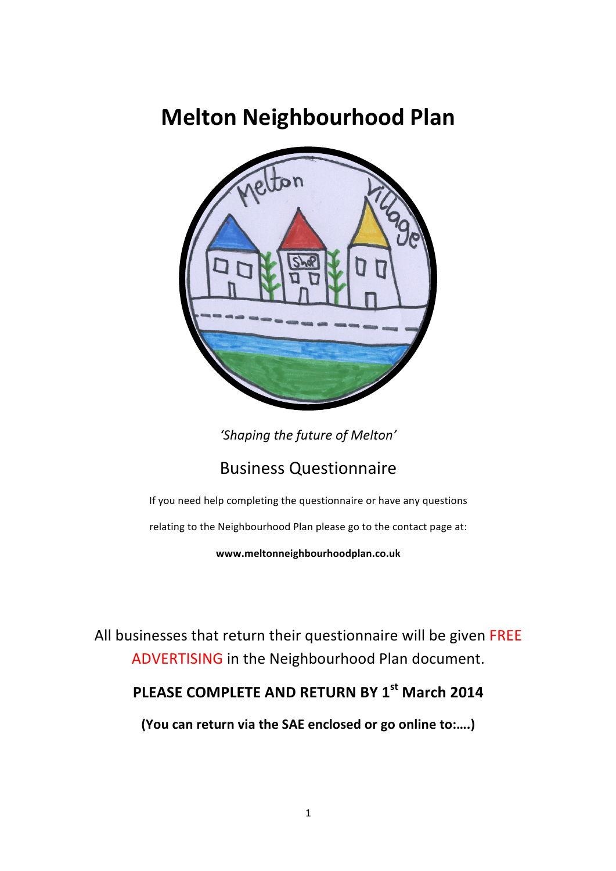# **Melton Neighbourhood Plan**



'Shaping the future of Melton'

## Business Questionnaire

If you need help completing the questionnaire or have any questions

relating to the Neighbourhood Plan please go to the contact page at:

**www.meltonneighbourhoodplan.co.uk**

All businesses that return their questionnaire will be given FREE ADVERTISING in the Neighbourhood Plan document.

# **PLEASE COMPLETE AND RETURN BY 1st March 2014**

(You can return via the SAE enclosed or go online to:....)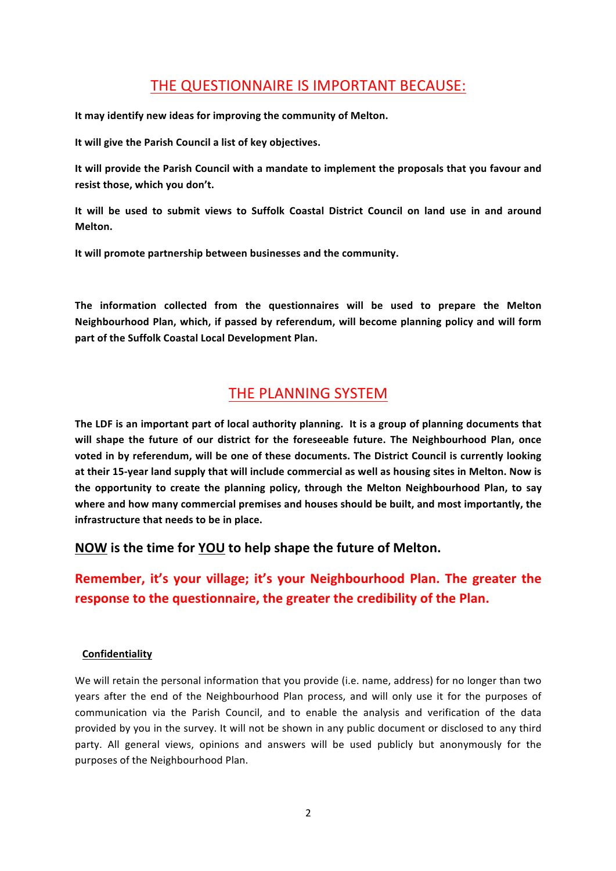### THE QUESTIONNAIRE IS IMPORTANT BECAUSE:

It may identify new ideas for improving the community of Melton.

It will give the Parish Council a list of key objectives.

It will provide the Parish Council with a mandate to implement the proposals that you favour and resist those, which you don't.

It will be used to submit views to Suffolk Coastal District Council on land use in and around **Melton.**

It will promote partnership between businesses and the community.

The information collected from the questionnaires will be used to prepare the Melton Neighbourhood Plan, which, if passed by referendum, will become planning policy and will form part of the Suffolk Coastal Local Development Plan.

### THE PLANNING SYSTEM

The LDF is an important part of local authority planning. It is a group of planning documents that will shape the future of our district for the foreseeable future. The Neighbourhood Plan, once voted in by referendum, will be one of these documents. The District Council is currently looking at their 15-year land supply that will include commercial as well as housing sites in Melton. Now is the opportunity to create the planning policy, through the Melton Neighbourhood Plan, to say where and how many commercial premises and houses should be built, and most importantly, the **infrastructure that needs to be in place.** 

**NOW** is the time for YOU to help shape the future of Melton.

### **Remember, it's your village; it's your Neighbourhood Plan. The greater the response to the questionnaire, the greater the credibility of the Plan.**

#### **Confidentiality**

We will retain the personal information that you provide (i.e. name, address) for no longer than two years after the end of the Neighbourhood Plan process, and will only use it for the purposes of communication via the Parish Council, and to enable the analysis and verification of the data provided by you in the survey. It will not be shown in any public document or disclosed to any third party. All general views, opinions and answers will be used publicly but anonymously for the purposes of the Neighbourhood Plan.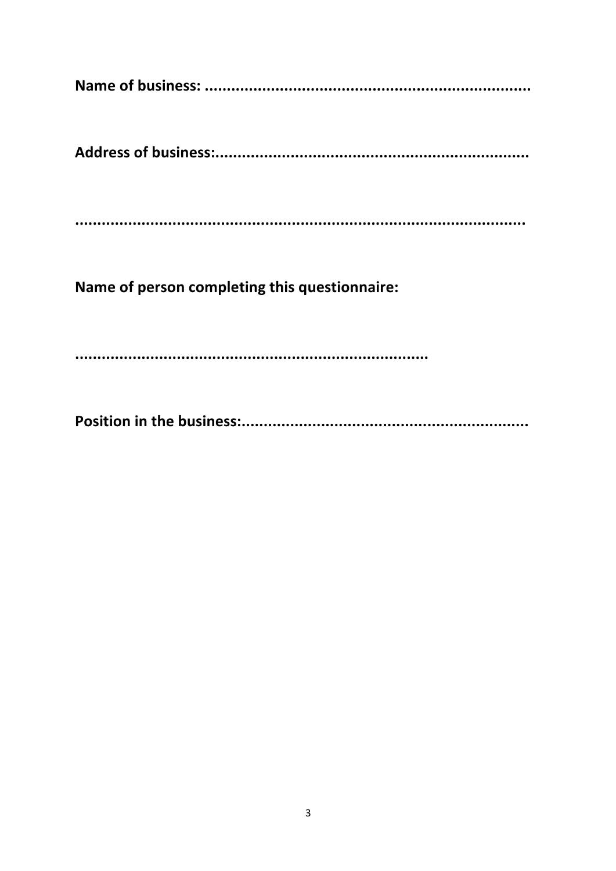Name of person completing this questionnaire: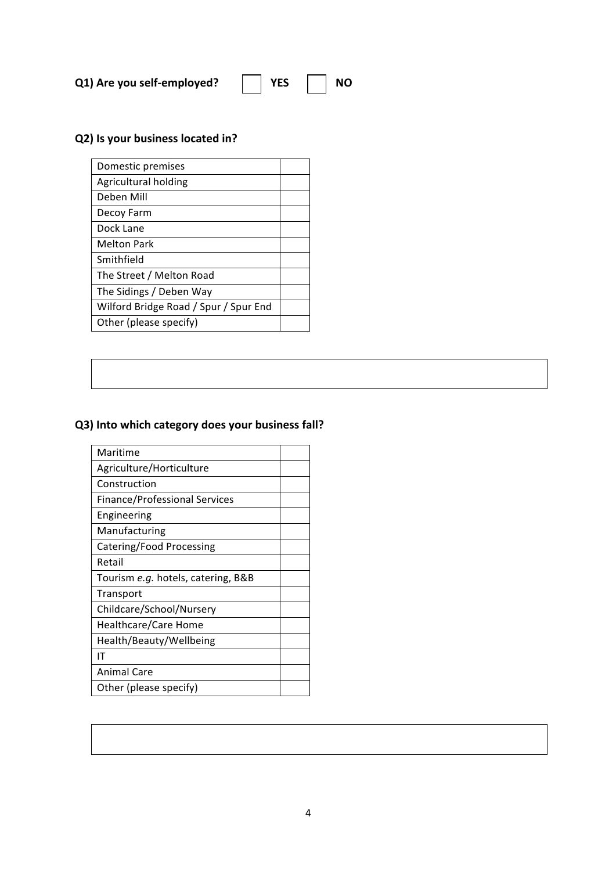| <b>YES</b><br>Q1) Are you self-employed? | <b>NO</b> |
|------------------------------------------|-----------|
|------------------------------------------|-----------|

### **Q2)** Is your business located in?

| Domestic premises                     |  |
|---------------------------------------|--|
| Agricultural holding                  |  |
| Deben Mill                            |  |
| Decoy Farm                            |  |
| Dock Lane                             |  |
| <b>Melton Park</b>                    |  |
| Smithfield                            |  |
| The Street / Melton Road              |  |
| The Sidings / Deben Way               |  |
| Wilford Bridge Road / Spur / Spur End |  |
| Other (please specify)                |  |

### **Q3)** Into which category does your business fall?

| Maritime                             |
|--------------------------------------|
| Agriculture/Horticulture             |
| Construction                         |
| <b>Finance/Professional Services</b> |
| Engineering                          |
| Manufacturing                        |
| Catering/Food Processing             |
| Retail                               |
| Tourism e.g. hotels, catering, B&B   |
| Transport                            |
| Childcare/School/Nursery             |
| Healthcare/Care Home                 |
| Health/Beauty/Wellbeing              |
| ΙT                                   |
| <b>Animal Care</b>                   |
| Other (please specify)               |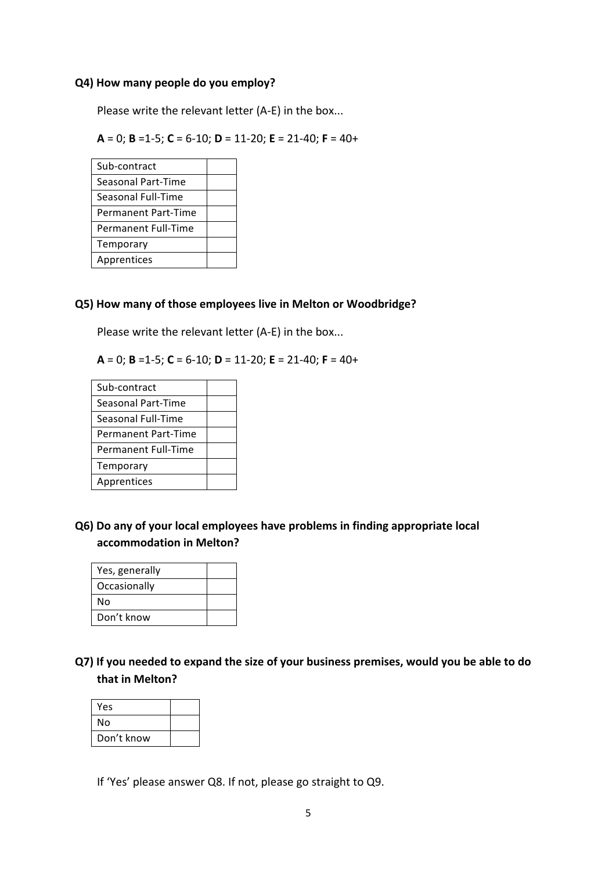#### **Q4) How many people do you employ?**

Please write the relevant letter (A-E) in the box...

**A** = 0; **B** =1-5; **C** = 6-10; **D** = 11-20; **E** = 21-40; **F** = 40+

| Sub-contract        |  |
|---------------------|--|
| Seasonal Part-Time  |  |
| Seasonal Full-Time  |  |
| Permanent Part-Time |  |
| Permanent Full-Time |  |
| Temporary           |  |
| Apprentices         |  |

#### **Q5)** How many of those employees live in Melton or Woodbridge?

Please write the relevant letter (A-E) in the box...

**A** = 0; **B** =1-5; **C** = 6-10; **D** = 11-20; **E** = 21-40; **F** = 40+

| Sub-contract               |  |
|----------------------------|--|
| Seasonal Part-Time         |  |
| Seasonal Full-Time         |  |
| <b>Permanent Part-Time</b> |  |
| <b>Permanent Full-Time</b> |  |
| Temporary                  |  |
| Apprentices                |  |

**Q6)** Do any of your local employees have problems in finding appropriate local **accommodation in Melton?**

| Yes, generally |  |
|----------------|--|
| Occasionally   |  |
| N٥             |  |
| Don't know     |  |

**Q7)** If you needed to expand the size of your business premises, would you be able to do **that in Melton?** 

| Yes        |  |
|------------|--|
| N٥         |  |
| Don't know |  |

If 'Yes' please answer Q8. If not, please go straight to Q9.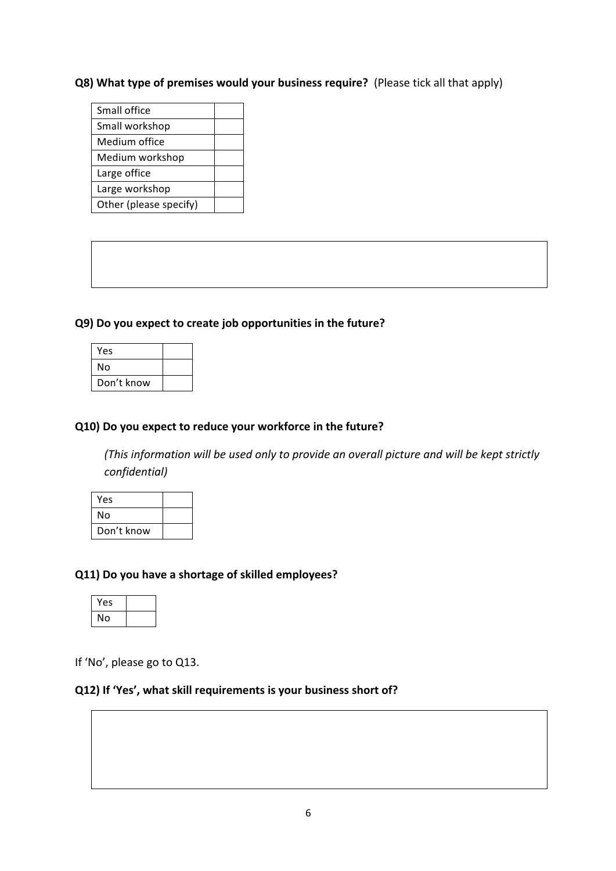### **Q8)** What type of premises would your business require? (Please tick all that apply)

| Small office           |  |
|------------------------|--|
| Small workshop         |  |
| Medium office          |  |
| Medium workshop        |  |
| Large office           |  |
| Large workshop         |  |
| Other (please specify) |  |

### **Q9)** Do you expect to create job opportunities in the future?

| Yes        |  |
|------------|--|
| N٥         |  |
| Don't know |  |

#### **Q10)** Do you expect to reduce your workforce in the future?

*(This information will be used only to provide an overall picture and will be kept strictly confidential)*

| Yes        |  |
|------------|--|
| No         |  |
| Don't know |  |

### **Q11)** Do you have a shortage of skilled employees?

| Yes |  |
|-----|--|
| No  |  |

If 'No', please go to Q13.

#### **Q12)** If 'Yes', what skill requirements is your business short of?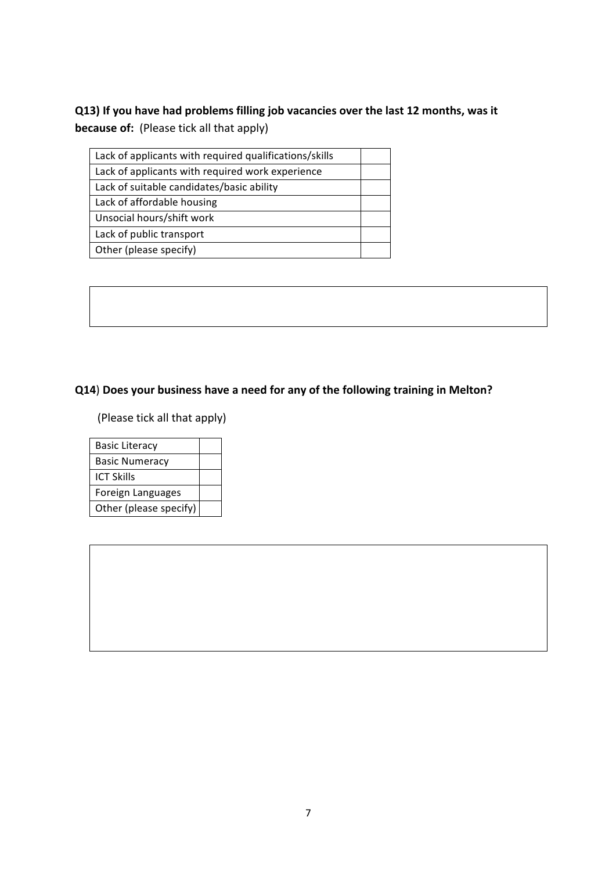### **Q13)** If you have had problems filling job vacancies over the last 12 months, was it **because of:** (Please tick all that apply)

| Lack of applicants with required qualifications/skills |  |
|--------------------------------------------------------|--|
| Lack of applicants with required work experience       |  |
| Lack of suitable candidates/basic ability              |  |
| Lack of affordable housing                             |  |
| Unsocial hours/shift work                              |  |
| Lack of public transport                               |  |
| Other (please specify)                                 |  |
|                                                        |  |

### **Q14**) Does your business have a need for any of the following training in Melton?

**(Please tick all that apply)** 

| <b>Basic Literacy</b>  |  |
|------------------------|--|
| <b>Basic Numeracy</b>  |  |
| ICT Skills             |  |
| Foreign Languages      |  |
| Other (please specify) |  |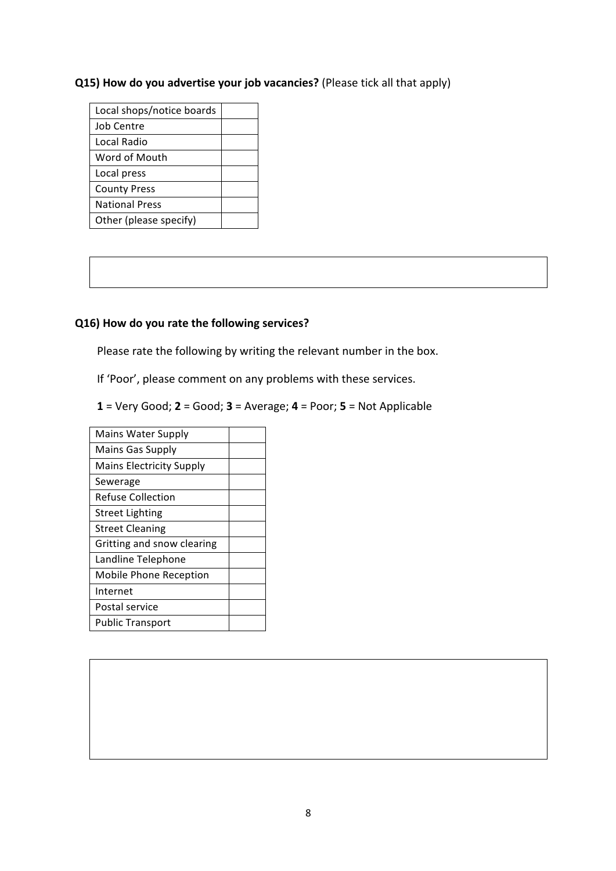### **Q15)** How do you advertise your job vacancies? (Please tick all that apply)

| Local shops/notice boards |  |
|---------------------------|--|
| Job Centre                |  |
| Local Radio               |  |
| Word of Mouth             |  |
| Local press               |  |
| <b>County Press</b>       |  |
| <b>National Press</b>     |  |
| Other (please specify)    |  |

### **Q16)** How do you rate the following services?

Please rate the following by writing the relevant number in the box.

If 'Poor', please comment on any problems with these services.

**1** = Very Good; **2** = Good; **3** = Average; **4** = Poor; **5** = Not Applicable

| Mains Water Supply              |  |
|---------------------------------|--|
| <b>Mains Gas Supply</b>         |  |
| <b>Mains Electricity Supply</b> |  |
| Sewerage                        |  |
| <b>Refuse Collection</b>        |  |
| <b>Street Lighting</b>          |  |
| <b>Street Cleaning</b>          |  |
| Gritting and snow clearing      |  |
| Landline Telephone              |  |
| Mobile Phone Reception          |  |
| Internet                        |  |
| Postal service                  |  |
| <b>Public Transport</b>         |  |
|                                 |  |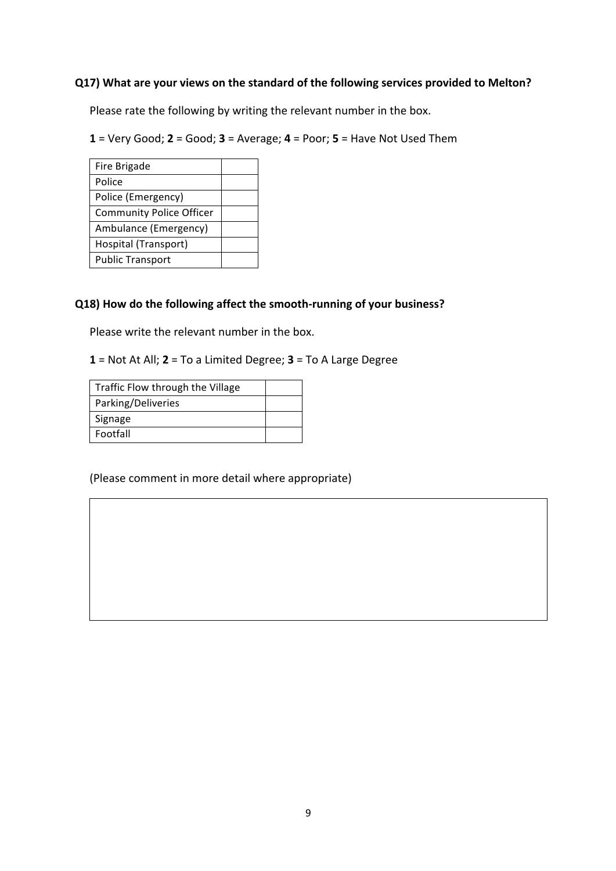### **Q17)** What are your views on the standard of the following services provided to Melton?

Please rate the following by writing the relevant number in the box.

 $1 = \text{Very Good}; 2 = \text{Good}; 3 = \text{Average}; 4 = \text{Poor}; 5 = \text{Have Not Used Them}$ 

| Fire Brigade<br>Police          |  |
|---------------------------------|--|
|                                 |  |
|                                 |  |
| Police (Emergency)              |  |
| <b>Community Police Officer</b> |  |
| Ambulance (Emergency)           |  |
| Hospital (Transport)            |  |
| <b>Public Transport</b>         |  |

### **Q18)** How do the following affect the smooth-running of your business?

Please write the relevant number in the box.

1 = Not At All; 2 = To a Limited Degree; 3 = To A Large Degree

| Traffic Flow through the Village |  |
|----------------------------------|--|
| Parking/Deliveries               |  |
| Signage                          |  |
| Footfall                         |  |

(Please comment in more detail where appropriate)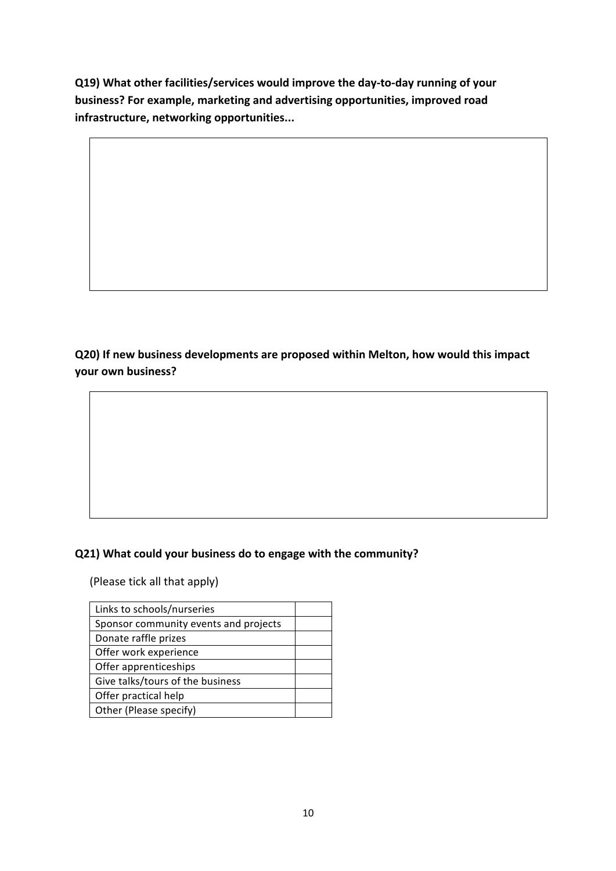**Q19)** What other facilities/services would improve the day-to-day running of your **business?** For example, marketing and advertising opportunities, improved road infrastructure, networking opportunities...

**Q20)** If new business developments are proposed within Melton, how would this impact **your own business?**

### **Q21)** What could your business do to engage with the community?

(Please tick all that apply)

| Links to schools/nurseries            |  |
|---------------------------------------|--|
| Sponsor community events and projects |  |
| Donate raffle prizes                  |  |
| Offer work experience                 |  |
| Offer apprenticeships                 |  |
| Give talks/tours of the business      |  |
| Offer practical help                  |  |
| Other (Please specify)                |  |
|                                       |  |